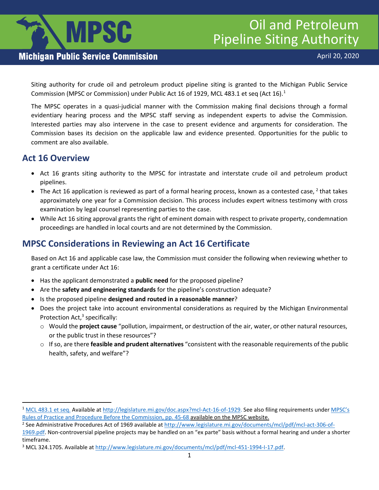

# Oil and Petroleum Pipeline Siting Authority

#### **Michigan Public Service Commission**

Siting authority for crude oil and petroleum product pipeline siting is granted to the Michigan Public Service Commission (MPSC or Commission) under Public Act [1](#page-0-0)6 of 1929, MCL 483.1 et seq (Act 16). $^1$ 

The MPSC operates in a quasi-judicial manner with the Commission making final decisions through a formal evidentiary hearing process and the MPSC staff serving as independent experts to advise the Commission. Interested parties may also intervene in the case to present evidence and arguments for consideration. The Commission bases its decision on the applicable law and evidence presented. Opportunities for the public to comment are also available.

#### **Act 16 Overview**

- Act 16 grants siting authority to the MPSC for intrastate and interstate crude oil and petroleum product pipelines.
- The Act 16 application is reviewed as part of a formal hearing process, known as a contested case,  $2$  that takes approximately one year for a Commission decision. This process includes expert witness testimony with cross examination by legal counsel representing parties to the case.
- While Act 16 siting approval grants the right of eminent domain with respect to private property, condemnation proceedings are handled in local courts and are not determined by the Commission.

### **MPSC Considerations in Reviewing an Act 16 Certificate**

Based on Act 16 and applicable case law, the Commission must consider the following when reviewing whether to grant a certificate under Act 16:

- Has the applicant demonstrated a **public need** for the proposed pipeline?
- Are the **safety and engineering standards** for the pipeline's construction adequate?
- Is the proposed pipeline **designed and routed in a reasonable manner**?
- Does the project take into account environmental considerations as required by the Michigan Environmental Protection Act,<sup>[3](#page-0-2)</sup> specifically:
	- o Would the **project cause** "pollution, impairment, or destruction of the air, water, or other natural resources, or the public trust in these resources"?
	- o If so, are there **feasible and prudent alternatives** "consistent with the reasonable requirements of the public health, safety, and welfare"?

<span id="page-0-0"></span><sup>&</sup>lt;sup>1</sup> [MCL 483.1 et seq.](http://www.legislature.mi.gov/(S(odk1acajunnav2tb1hw2uudq))/mileg.aspx?page=getObject&objectName=mcl-Act-16-of-1929) Available at [http://legislature.mi.gov/doc.aspx?mcl-Act-16-of-1929.](http://legislature.mi.gov/doc.aspx?mcl-Act-16-of-1929) See also filing requirements under MPSC's Rules of Pr[a](https://dtmb.state.mi.us/ARS_Public/AdminCode/DownloadAdminCodeFile?FileName=1799_2018-018LR_AdminCode.pdf)ctice and Procedure Before the Commission, pp. 45-68 available on the MPSC website.<br><sup>2</sup> See Administrative Procedures Act of 1969 available at [http://www.legislature.mi.gov/documents/mcl/pdf/mcl-act-306-of-](http://www.legislature.mi.gov/documents/mcl/pdf/mcl-act-306-of-1969.pdf)

<span id="page-0-1"></span>

[<sup>1969.</sup>pdf.](http://www.legislature.mi.gov/documents/mcl/pdf/mcl-act-306-of-1969.pdf) Non-controversial pipeline projects may be handled on an "ex parte" basis without a formal hearing and under a shorter timeframe.<br><sup>3</sup> MCL 324.1705. Available at [http://www.legislature.mi.gov/documents/mcl/pdf/mcl-451-1994-I-17.pdf.](http://www.legislature.mi.gov/documents/mcl/pdf/mcl-451-1994-I-17.pdf)

<span id="page-0-2"></span>